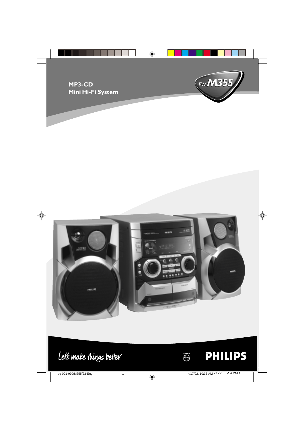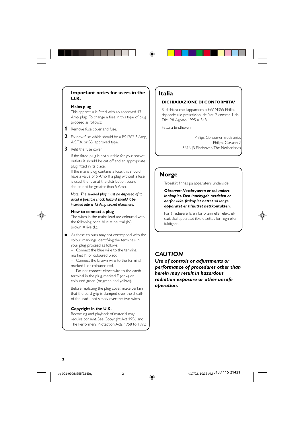# **Important notes for users in the U.K.**

### **Mains plug**

This apparatus is fitted with an approved 13 Amp plug. To change a fuse in this type of plug proceed as follows:

- **1** Remove fuse cover and fuse.
- **2** Fix new fuse which should be a BS1362 5 Amp, A.S.T.A. or BSI approved type.
- **3** Refit the fuse cover.

If the fitted plug is not suitable for your socket outlets, it should be cut off and an appropriate plug fitted in its place.

If the mains plug contains a fuse, this should have a value of 5 Amp. If a plug without a fuse is used, the fuse at the distribution board should not be greater than 5 Amp.

*Note: The severed plug must be disposed of to avoid a possible shock hazard should it be inserted into a 13 Amp socket elsewhere.*

# **How to connect a plug**

The wires in the mains lead are coloured with the following code: blue  $=$  neutral (N), brown  $=$  live (L).

As these colours may not correspond with the colour markings identifying the terminals in your plug, proceed as follows:

– Connect the blue wire to the terminal marked N or coloured black.

– Connect the brown wire to the terminal marked L or coloured red.

– Do not connect either wire to the earth terminal in the plug, marked E (or  $\frac{1}{2}$ ) or coloured green (or green and yellow).

Before replacing the plug cover, make certain that the cord grip is clamped over the sheath of the lead - not simply over the two wires.

# **Copyright in the U.K.**

Recording and playback of material may require consent. See Copyright Act 1956 and The Performer's Protection Acts 1958 to 1972.

# **Italia**

# **DICHIARAZIONE DI CONFORMITA'**

Si dichiara che l'apparecchio FW-M355 Philips risponde alle prescrizioni dell'art. 2 comma 1 del D.M. 28 Agosto 1995 n. 548.

Fatto a Eindhoven

Philips Consumer Electronics Philips, Glaslaan 2 5616 JB Eindhoven, The Netherlands

# **Norge**

Typeskilt finnes på apparatens underside.

*Observer: Nettbryteren er sekundert innkoplet. Den innebygde netdelen er derfor ikke frakoplet nettet så lenge apparatet er tilsluttet nettkontakten.*

For å redusere faren for brann eller elektrisk støt, skal apparatet ikke utsettes for regn eller fuktighet.

# *CAUTION*

*Use of controls or adjustments or performance of procedures other than herein may result in hazardous radiation exposure or other unsafe operation.*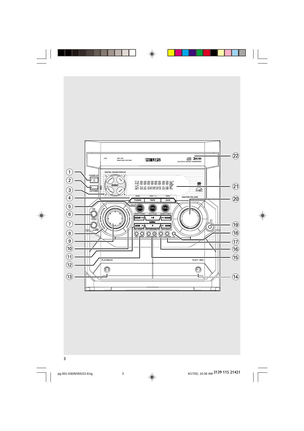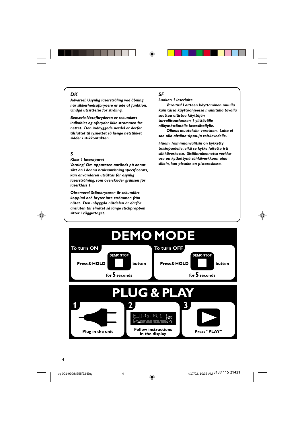# *DK*

*Advarsel: Usynlig laserstråling ved åbning når sikkerhedsafbrydere er ude af funktion. Undgå utsættelse for stråling.*

*Bemærk: Netafbryderen er sekundært indkoblet og ofbryder ikke strømmen fra nettet. Den indbyggede netdel er derfor tilsluttet til lysnettet så længe netstikket sidder i stikkontakten.*

# *S*

◈

# *Klass 1 laseraparat*

*Varning! Om apparaten används på annat sätt än i denna bruksanvisning specificerats, kan användaren utsättas för osynlig laserstrålning, som överskrider gränsen för laserklass 1.*

*Observera! Stömbrytaren är sekundärt kopplad och bryter inte strömmen från nätet. Den inbyggda nätdelen är därför ansluten till elnätet så länge stickproppen sitter i vägguttaget.*

# *SF*

◈

*Luokan 1 laserlaite*

*Varoitus! Laitteen käyttäminen muulla kuin tässä käyttöohjeessa mainitulla tavalla saattaa altistaa käyttäjän turvallisuusluokan 1 ylittävälle näkymättömälle lasersäteilylle.*

*Oikeus muutoksiin varataan. Laite ei saa olla alttiina tippu-ja roiskevedelle.*

*Huom. Toiminnanvalitsin on kytketty toisiopuolelle, eikä se kytke laitetta irti sähköverkosta. Sisäänrakennettu verkkoosa on kytkettynä sähköverkkoon aina silloin, kun pistoke on pistorasiassa.*



pg 001-030/M355/22-Eng 4<br>
and the set of the set of the set of the set of the set of the set of the set of the set of the set of the set of the set of the set of the set of the set of the set of the set of the set of the s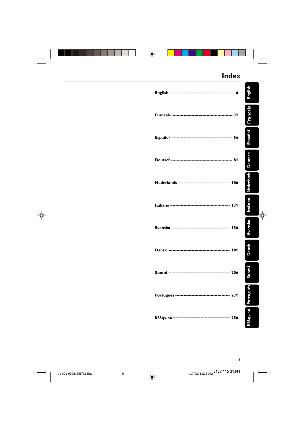|  | <b>Index</b> |                   |
|--|--------------|-------------------|
|  |              | English           |
|  |              | Français          |
|  |              | Español           |
|  |              | <b>Deutsch</b>    |
|  |              | <b>Nederlands</b> |
|  |              | Italiano<br>❀     |
|  |              | Svenska           |
|  |              | <b>Dansk</b>      |
|  |              | iomi<br>ğ         |
|  |              | EMnuká Português  |
|  |              |                   |

5

3139 115 21341

pg 001-030/M355/22-Eng 4/17/02, 10:46 AM 5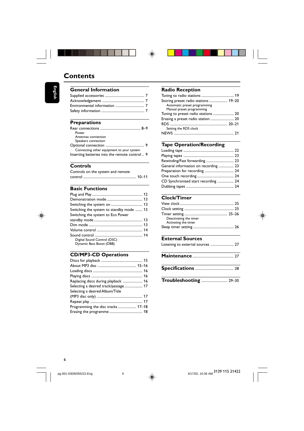# $\clubsuit$

# **Contents**

**English**

| <b>General Information</b> |  |
|----------------------------|--|
|                            |  |
|                            |  |
|                            |  |
|                            |  |

# **Preparations**

| Power                                         |  |
|-----------------------------------------------|--|
| Antennas connection                           |  |
| Speakers connection                           |  |
|                                               |  |
| Connecting other equipment to your system     |  |
| Inserting batteries into the remote control 9 |  |

# **Controls**

Controls on the system and remote control ........................................................... 10–11

# **Basic Functions**

| Switching the system to standby mode  13 |  |
|------------------------------------------|--|
| Switching the system to Eco Power        |  |
|                                          |  |
|                                          |  |
|                                          |  |
|                                          |  |
| Digital Sound Control (DSC)              |  |
| Dynamic Bass Boost (DBB)                 |  |

# **CD/MP3-CD Operations**

| Replacing discs during playback  16  |  |
|--------------------------------------|--|
| Selecting a desired track/passage 17 |  |
| Selecting a desired Album/Title      |  |
|                                      |  |
|                                      |  |
| Programming the disc tracks  17-18   |  |
|                                      |  |

# **Radio Reception**

| Storing preset radio stations  19–20 |  |
|--------------------------------------|--|
| Automatic preset programming         |  |
| Manual preset programming            |  |
| Tuning to preset radio stations  20  |  |
| Erasing a preset radio station  20   |  |
|                                      |  |
| Setting the RDS clock                |  |
|                                      |  |
|                                      |  |

# **Tape Operation/Recording**

| Rewinding/Fast forwarding 23         |  |
|--------------------------------------|--|
| General information on recording  23 |  |
| Preparation for recording  24        |  |
|                                      |  |
| CD Synchronised start recording  24  |  |
|                                      |  |
|                                      |  |

# **Clock/Timer**

| Deactivating the timer |  |
|------------------------|--|
| Activating the timer   |  |
|                        |  |

# **External Sources**<br>Listening to external sou

|  |  |  | Listening to external sources  27 |  |  |
|--|--|--|-----------------------------------|--|--|
|--|--|--|-----------------------------------|--|--|

| Troubleshooting  29-30 |  |  |
|------------------------|--|--|
|------------------------|--|--|

pg 001-030/M355/22-Eng 4/17/02, 10:46 AM 6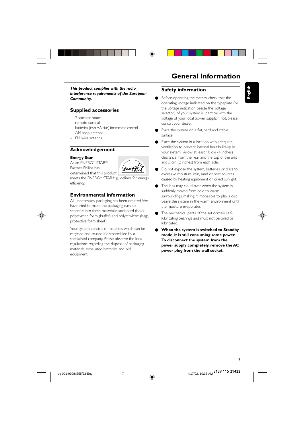



*This product complies with the radio interference requirements of the European Community.*

# **Supplied accessories**

- 2 speaker boxes
- remote control
- batteries (two AA size) for remote control
- AM loop antenna
- FM wire antenna

# **Acknowledgement**

#### **Energy Star**

As an ENERGY STAR® Partner, Philips has determined that this product



meets the ENERGY STAR<sup>®</sup> guidelines for energy efficiency.

# **Environmental information**

All unnecessary packaging has been omitted. We have tried to make the packaging easy to separate into three materials: cardboard (box), polystyrene foam (buffer) and polyethylene (bags, protective foam sheet).

Your system consists of materials which can be recycled and reused if disassembled by a specialised company. Please observe the local regulations regarding the disposal of packaging materials, exhausted batteries and old equipment.

# **General Information**

**English**

# **Safety information**

- Before operating the system, check that the operating voltage indicated on the typeplate (or the voltage indication beside the voltage selector) of your system is identical with the voltage of your local power supply. If not, please consult your dealer.
- Place the system on a flat, hard and stable surface.
- Place the system in a location with adequate ventilation to prevent internal heat build-up in your system. Allow at least 10 cm (4 inches) clearance from the rear and the top of the unit and 5 cm (2 inches) from each side.
- Do not expose the system, batteries or discs to excessive moisture, rain, sand or heat sources caused by heating equipment or direct sunlight.
- The lens may cloud over when the system is suddenly moved from cold to warm surroundings, making it impossible to play a disc. Leave the system in the warm environment until the moisture evaporates.
	- The mechanical parts of the set contain selflubricating bearings and must not be oiled or lubricated.
- **When the system is switched to Standby mode, it is still consuming some power. To disconnect the system from the power supply completely, remove the AC power plug from the wall socket.**

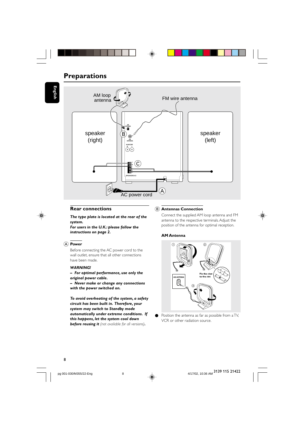# **Preparations**





# **Rear connections**

*The type plate is located at the rear of the system.*

*For users in the U.K.: please follow the instructions on page 2.*

### A **Power**

Before connecting the AC power cord to the wall outlet, ensure that all other connections have been made.

# *WARNING!*

*– For optimal performance, use only the original power cable.*

*– Never make or change any connections with the power switched on.*

*To avoid overheating of the system, a safety circuit has been built in. Therefore, your system may switch to Standby mode automatically under extreme conditions. If this happens, let the system cool down before reusing it (not available for all versions).*

# B **Antennas Connection**

Connect the supplied AM loop antenna and FM antenna to the respective terminals. Adjust the position of the antenna for optimal reception.

### **AM Antenna**



Position the antenna as far as possible from a TV, VCR or other radiation source.

pg 001-030/M355/22-Eng 4/20, 10:36 AM 8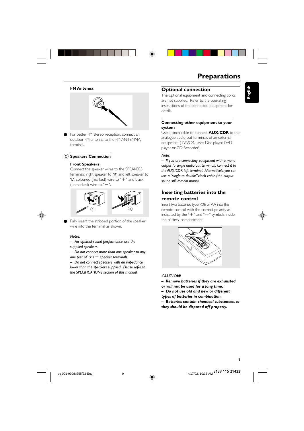



# **Preparations**

#### **FM Antenna**



● For better FM stereo reception, connect an outdoor FM antenna to the FM ANTENNA terminal.

# C **Speakers Connection**

#### **Front Speakers**

Connect the speaker wires to the SPEAKERS terminals, right speaker to "R" and left speaker to "L", coloured (marked) wire to " $+$ " and black (unmarked) wire to " $-$ ".



Fully insert the stripped portion of the speaker wire into the terminal as shown.

#### *Notes:*

*– For optimal sound performance, use the supplied speakers.*

*– Do not connect more than one speaker to any one pair of*  $+/-$  *speaker terminals.* 

*– Do not connect speakers with an impedance lower than the speakers supplied. Please refer to the SPECIFICATIONS section of this manual.*

# **Optional connection**

The optional equipment and connecting cords are not supplied. Refer to the operating instructions of the connected equipment for details.

# **Connecting other equipment to your system**

Use a cinch cable to connect **AUX/CDR** to the analogue audio out terminals of an external equipment (TV, VCR, Laser Disc player, DVD player or CD Recorder).

# *Note:*

*– If you are connecting equipment with a mono output (a single audio out terminal), connect it to the AUX/CDR left terminal. Alternatively, you can use a "single to double" cinch cable (the output sound still remain mono).*

# **Inserting batteries into the remote control**

Insert two batteries type R06 or AA into the remote control with the correct polarity as indicated by the " $+$ " and " $-$ " symbols inside the battery compartment.



**English**



#### *CAUTION!*

- *Remove batteries if they are exhausted*
- *or will not be used for a long time.*
- *Do not use old and new or different*
- *types of batteries in combination.*

*– Batteries contain chemical substances, so they should be disposed off properly.*

3139 115 21422

9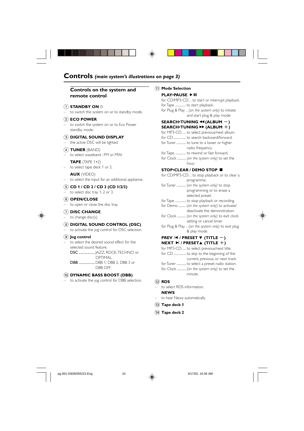# Controls (main system's illustrations on page 3)

# Controls on the system and remote control

# $(1)$  STANDBY ON  $\circlearrowright$

to switch the system on or to standby mode.

# $(2)$  ECO POWER

- to switch the system on or to Eco Power standby mode.
- 3 DIGITAL SOUND DISPLAY the active DSC will be lighted.
- $\widehat{A}$  TUNER (BAND)
- to select waveband : FM or MW. **TAPE** (TAPE  $1 \cdot 2$ )
- to select tape deck 1 or 2.

# **AUX** (VIDEO)

to select the input for an additional appliance.

- $(5)$  CD 1 / CD 2 / CD 3 (CD 1/2/3)
- to select disc tray 1, 2 or 3.

# 6 OPEN/CLOSE

to open or close the disc tray.

# $(7)$  DISC CHANGE

to change disc(s).

# 8 DIGITAL SOUND CONTROL (DSC)

to activate the jog control for DSC selection.

# 9) Jog control

- to select the desired sound effect for the selected sound feature.
	- DSC .................... JAZZ, ROCK, TECHNO or OPTIMAL.

DBB ..................DBB 1, DBB 2, DBB 3 or DBB OFF.

#### (10) DYNAMIC BASS BOOST (DBB)

to activate the jog control for DBB selection.

# (1) Mode Selection

# **PLAY∙PAUSE ▶ II** for CD/MP3-CD...to start or interrupt playback.

for Tape ............... to start playback. for Plug & Play... (on the system only) to initiate and start plug & play mode.

# SEARCH.TUNING << (ALBUM -)

SEARCH TUNING >> (ALBUM +) for MP3-CD ..... to select previous/next album. for Tuner .............. to tune to a lower or higher radio frequency. for Tape ...... to rewind or fast forward. for Clock ............ (on the system only) to set the hour.

#### STOP•CLEAR / DEMO STOP ■

| for CD/MP3-CDto stop playback or to clear a |
|---------------------------------------------|
| programme.                                  |
| for Tuner  (on the system only) to stop     |
| programming or to erase a                   |
| selected preset.                            |
| .                                           |

- for Tape ........ ...... to stop playback or recording. for Demo ........... (on the system only) to activate/
- deactivate the demonstration. for Clock ............ (on the system only) to exit clock
- setting or cancel timer. for Plug & Play...(on the system only) to exit plug
- & play mode.

# PREV  $\vert$ 4 / PRESET  $\blacktriangledown$  (TITLE -) NEXT  $\blacktriangleright$  / PRESETA (TITLE +)

- for MP3-CD ..... to select previous/next title.
- current, previous, or next track.
- for Tuner .............. to select a preset radio station. for Clock ............ (on the system only) to set the
- minute.

# $(12)$  RDS

- to select RDS information. **NEWS**
- to hear News automatically.
- (13) Tape deck 1
- (14) Tape deck 2

 $10$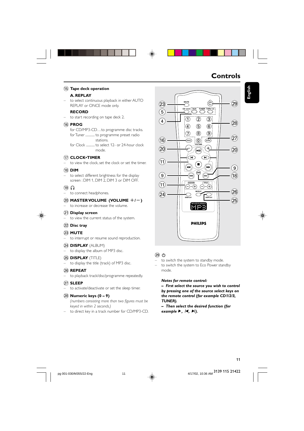#### (15) Tape deck operation

# A. REPLAY

to select continuous playback in either AUTO REPLAY or ONCE mode only.

# **RECORD**

to start recording on tape deck 2.

#### 16 PROG

for CD/MP3-CD...to programme disc tracks. for Tuner ..............to programme preset radio stations.

for Clock ............to select 12- or 24-hour clock mode

# (17) CLOCK·TIMER

to view the clock, set the clock or set the timer.

### $(18)$  DIM

to select different brightness for the display screen: DIM 1, DIM 2, DIM 3 or DIM OFF.

# $(19)$   $\Omega$

to connect headphones.  $\equiv$ 

# 20 MASTER VOLUME (VOLUME  $+/-$ ) to increase or decrease the volume.

#### (21) Display screen

to view the current status of the system.

### (22) Disc tray

# 23 **MUTE**

- to interrupt or resume sound reproduction.
- (24) **DISPLAY** (ALBUM)

# - to display the album of MP3 disc.

- (25) **DISPLAY** (TITLE)
- to display the title (track) of MP3 disc.

### 26 REPEAT

to playback track/disc/programme repeatedly.

# $(27)$  SLEEP

- to activate/deactivate or set the sleep timer.

#### $(28)$  Numeric keys  $(0 - 9)$

(numbers consisting more than two figures must be keved in within 2 seconds.)

- to direct key in a track number for CD/MP3-CD.

# $(28)$  $\circledA$  $\circledS$  $\circledS$  $(8)$  $\circledcirc$ ⑦  $\left( 27\right)$  $\overline{\text{SLEP}}$  $(16)$  $\circledcirc$  $(20)$  $(20)$  $(11)$  $\left( 9\right)$  $\circled{9}$  $(18)$  $(1)$  $(26)$  $(24)$  $(25)$ hfe **PHILIPS**

**AUX TUNER TAPE 1/2** 

 $\overline{3}$ 

 $\overline{\textcircled{2}}$ 

ි(1)

**Controls** 

 $(29)$ 

English

#### 

⊕

 $(23)$ 

 $\binom{5}{ }$ 

 $\left( \widehat{4}\right)$ 

- to switch the system to standby mode.
- to switch the system to Eco Power standby mode.

#### Notes for remote control:

- First select the source you wish to control by pressing one of the source select keys on the remote control (for example CD1/2/3, TUNER).

 $-$  Then select the desired function (for example  $\blacktriangleright$ ,  $\blacktriangleright$ ,  $\blacktriangleright$ ).

4/17/02, 10:36 AM 3139 115 21422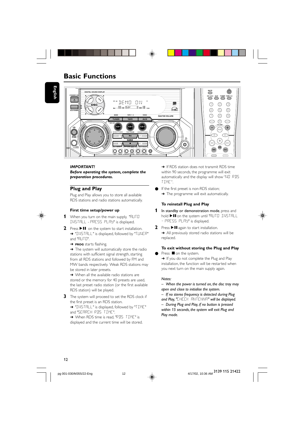# **Basic Functions**

English



#### **IMPORTANT!**

Before operating the system, complete the preparation procedures.

# **Plug and Play**

Plug and Play allows you to store all available RDS stations and radio stations automatically.



#### First time setup/power up

- 1 When you turn on the main supply, "RUTE INSTRLL - PRESS PLRY" is displayed.
- 2 Press II on the system to start installation. → "INSTRLL" is displayed, followed by "TUNER" and "RUTO".
	- > PROG starts flashing.

> The system will automatically store the radio stations with sufficient signal strength, starting from all RDS stations and followed by FM and MW bands respectively. Weak RDS stations may be stored in later presets.

→ When all the available radio stations are stored or the memory for 40 presets are used, the last preset radio station (or the first available RDS station) will be played.

3 The system will proceed to set the RDS clock if the first preset is an RDS station. → "INSTRLL" is displayed, followed by "TIME"

and "SERREH RTS IIME" → When RDS time is read, "RIIS TIME" is

displayed and the current time will be stored.

→ If RDS station does not transmit RDS time within 90 seconds, the programme will exit automatically and the display will show "NO RIS TTMF"

If the first preset is non-RDS station;  $\rightarrow$  The programme will exit automatically.

# To reinstall Plug and Play

- 1 In standby or demonstration mode, press and hold II on the system until "RUTO INSTRLL - PRESS PLRY" is displayed.
- 2 Press > II again to start installation. All previously stored radio stations will be replaced.

# To exit without storing the Plug and Play Press ■ on the system.

If you do not complete the Plug and Play installation, the function will be restarted when you next turn on the main supply again.

# Notes:

- When the power is turned on, the disc tray may open and close to initialise the system. - If no stereo frequency is detected during Plug and Play, "CHECK ANTENNA" will be displayed. - During Plug and Play, if no button is pressed within 15 seconds, the system will exit Plug and Play mode.



4/17/02, 10:36 AM 3139 115 21422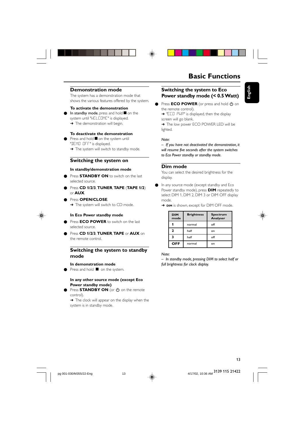# **Demonstration mode**

The system has a demonstration mode that shows the various features offered by the system.

#### **To activate the demonstration**

In standby mode, press and hold  $\blacksquare$  on the system until "WELCOME" is displayed. → The demonstration will begin.

#### **To deactivate the demonstration**

Press and hold  $\blacksquare$  on the system until

"DEMO OFF" is displayed. → The system will switch to standby mode.

# **Switching the system on**

# **In standby/demonstration mode**

- Press **STANDBY ON** to switch on the last selected source.
- Press **CD 1/2/3**, **TUNER**, **TAPE** (**TAPE 1/2**) or **AUX**.
- Press **OPEN/CLOSE**. → The system will switch to CD mode.

#### **In Eco Power standby mode**

- Press **ECO POWER** to switch on the last selected source.
- Press **CD 1/2/3**, **TUNER**, **TAPE** or **AUX** on the remote control.

# **Switching the system to standby mode**

#### **In demonstration mode**

● Press and hold ■ on the system.

# **In any other source mode (except Eco Power standby mode)**

Press **STANDBY ON** (or  $\bigcirc$  on the remote control).

 $\rightarrow$  The clock will appear on the display when the system is in standby mode.

# **Basic Functions**

**English**

# **Switching the system to Eco Power standby mode (< 0.5 Watt)**

● Press **ECO POWER** (or press and hold  $\Phi$  on the remote control).

→ "ECO PWR" is displayed, then the display screen will go blank.

→ The low power ECO POWER LED will be lighted.

### *Note:*

*– If you have not deactivated the demonstration, it will resume five seconds after the system switches to Eco Power standby or standby mode.*

# **Dim mode**

You can select the desired brightness for the display.

● In any source mode (except standby and Eco Power standby mode), press **DIM** repeatedly to select DIM 1, DIM 2, DIM 3 or DIM OFF display mode.

→ **DIM** is shown, except for DIM OFF mode.

| <b>DIM</b><br>mode | <b>Brightness</b> | <b>Spectrum</b><br>Analyser |  |
|--------------------|-------------------|-----------------------------|--|
|                    | normal            | off                         |  |
| $\mathbf{z}$       | half              | on                          |  |
| 3                  | half              | off                         |  |
| OFF                | normal            | on                          |  |

*Note:*

*– In standby mode, pressing DIM to select half or full brightness for clock display.*

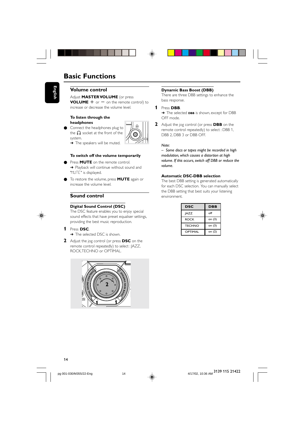# **Basic Functions**

# **Volume control**

Adjust **MASTER VOLUME** (or press **VOLUME**  $+$  or  $-$  on the remote control) to increase or decrease the volume level.

#### **To listen through the headphones**

Connect the headphones plug to the  $\bigcap$  socket at the front of the system.



# **To switch off the volume temporarily**

- Press **MUTE** on the remote control. → Playback will continue without sound and "MUTE" is displayed.
- To restore the volume, press **MUTE** again or increase the volume level.

# **Sound control**

### **Digital Sound Control (DSC)**

The DSC feature enables you to enjoy special sound effects that have preset equaliser settings, providing the best music reproduction.

# **1** Press **DSC**.

- → The selected DSC is shown.
- **2** Adjust the jog control (or press **DSC** on the remote control repeatedly) to select : JAZZ, ROCK, TECHNO or OPTIMAL.



#### **Dynamic Bass Boost (DBB)**

There are three DBB settings to enhance the bass response.

### **1** Press **DBB**.

➜ The selected **DBB** is shown, except for DBB OFF mode.

**2** Adjust the jog control (or press **DBB** on the remote control repeatedly) to select : DBB 1, DBB 2, DBB 3 or DBB OFF.

### *Note:*

*– Some discs or tapes might be recorded in high modulation, which causes a distortion at high volume. If this occurs, switch off DBB or reduce the volume.*

# **Automatic DSC-DBB selection**

The best DBB setting is generated automatically for each DSC selection. You can manually select the DBB setting that best suits your listening environment.

| <b>DSC</b>    | DBB    |
|---------------|--------|
| <b>JAZZ</b>   | off    |
| <b>ROCK</b>   | on (3) |
| <b>TECHNO</b> | on (3) |
| OPTIMAL       | on (2) |





pg 001-030/M355/22-Eng 44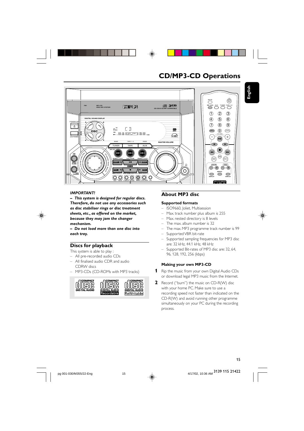





### **IMPORTANT!**

- This system is designed for regular discs. Therefore, do not use any accessories such as disc stabiliser rings or disc treatment sheets, etc., as offered on the market, because they may jam the changer mechanism.

- Do not load more than one disc into each tray.

# Discs for playback

This system is able to play :

- All pre-recorded audio CDs
- All finalised audio CDR and audio CDRW discs
- MP3-CDs (CD-ROMs with MP3 tracks)



# **About MP3 disc**

# **Supported formats**

- ISO9660, Joliet, Multisession
- Max. track number plus album is 255
- Max nested directory is 8 levels
- The max. album number is 32  $\overline{a}$
- The max. MP3 programme track number is 99
- Supported VBR bit-rate
- Supported sampling frequencies for MP3 disc are: 32 kHz, 44.1 kHz, 48 kHz
- Supported Bit-rates of MP3 disc are: 32, 64, 96, 128, 192, 256 (kbps)

# Making your own MP3-CD

- 1 Rip the music from your own Digital Audio CDs or download legal MP3 music from the Internet.
- 2 Record ("burn") the music on CD-R(W) disc with your home PC. Make sure to use a recording speed not faster than indicated on the CD-R(W) and avoid running other programme simultaneously on your PC during the recording process.

◈

4/17/02, 10:36 AM 3139 115 21422

15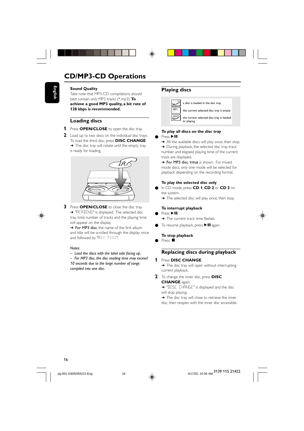# **CD/MP3-CD Operations**



**English**

**Sound Quality**

Take note that MP3-CD compilations should best contain only MP3 tracks (\*.mp3). **To achieve a good MP3 quality, a bit rate of 128 kbps is recommended.**

# **Loading discs**

- **1** Press **OPEN/CLOSE** to open the disc tray.
- **2** Load up to two discs on the individual disc trays. To load the third disc, press **DISC CHANGE**.  $\rightarrow$  The disc tray will rotate until the empty tray is ready for loading.



- 
- **3** Press **OPEN/CLOSE** to close the disc tray. → "READING" is displayed. The selected disc tray, total number of tracks and the playing time will appear on the display.

→ For MP3 disc, the name of the first album and title will be scrolled through the display once and followed by "RXX TXXX".

#### *Notes:*

*– Load the discs with the label side facing up.*

*– For MP3 disc, the disc reading time may exceed 10 seconds due to the large number of songs compiled into one disc.*

# **Playing discs**



# **To play all discs on the disc tray**

 $\bullet$  Press $\blacktriangleright$ II.

→ All the available discs will play once, then stop. → During playback, the selected disc tray, track number and elapsed playing time of the current track are displayed.

→ For MP3 disc, TITLE is shown. For mixed mode discs, only one mode will be selected for playback depending on the recording format.

### **To play the selected disc only**

- In CD mode, press **CD 1**, **CD 2** or **CD 3** on the system.
- → The selected disc will play once, then stop.

#### **To interrupt playback**

- Press  $\blacktriangleright$  II.
- $\rightarrow$  The current track time flashes.
- To resume playback, press  $\blacktriangleright$  II again.

# **To stop playback**

 $P$ ress  $\blacksquare$ .

# **Replacing discs during playback**

# **1** Press **DISC CHANGE**.

- → The disc tray will open without interrupting current playback.
- **2** To change the inner disc, press **DISC CHANGE** again.

→ "DISC CHRNGE" is displayed and the disc will stop playing.

→ The disc tray will close to retrieve the inner disc, then reopen with the inner disc accessible.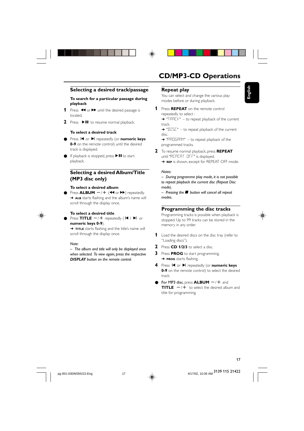# **Selecting a desired track/passage**

# **To search for a particular passage during playback**

- **1** Press  $\blacktriangleleft$  or  $\blacktriangleright$  until the desired passage is located.
- **2** Press  $\blacktriangleright$  **II** to resume normal playback.

# **To select a desired track**

- Press I< or ▶ repeatedly (or **numeric keys 0-9** on the remote control) until the desired track is displayed.
- If playback is stopped, press ▶ II to start playback.

# **Selecting a desired Album/Title (MP3 disc only)**

# **To select a desired album**

Press  $ALBUM$   $-/+$  ( $\blacktriangleleft$  or  $\blacktriangleright$ ) repeatedly. → ALB starts flashing and the album's name will scroll through the display once.



### **To select a desired title**

Press  $TITLE$   $-$ / $+$  repeatedly ( $\vert$ **4** / $\vert$ **)** or **numeric keys 0-9**).

→ **TITLE** starts flashing and the title's name will scroll through the display once.

### *Note:*

*– The album and title will only be displayed once when selected. To view again, press the respective DISPLAY button on the remote control.*

# **CD/MP3-CD Operations**

**English**

# **Repeat play**

You can select and change the various play modes before or during playback.

**1** Press **REPEAT** on the remote control repeatedly to select : → "TRREK" – to repeat playback of the current

track.

→ "JISC" – to repeat playback of the current disc.

➜ "PROGRAM" – to repeat playback of the programmed tracks.

- **2** To resume normal playback, press **REPEAT** until "REPEAT OFF" is displayed.
	- **→ REP** is shown, except for REPEAT OFF mode.

#### *Notes:*

*– During programme play mode, it is not possible to repeat playback the current disc (Repeat Disc mode).*

*– Pressing the*Ç *button will cancel all repeat modes.*

# **Programming the disc tracks**

Programming tracks is possible when playback is stopped. Up to 99 tracks can be stored in the memory in any order.



- **2** Press **CD 1/2/3** to select a disc.
- **3** Press **PROG** to start programming. ➜ **PROG** starts flashing.
- **4** Press  $\textsf{I}$  or  $\textsf{I}$  repeatedly (or **numeric keys 0-9** on the remote control) to select the desired track.
- $\bullet$  For MP3 disc, press **ALBUM**  $-$ / $+$  and **TITLE**  $-\ell + \infty$  select the desired album and title for programming.

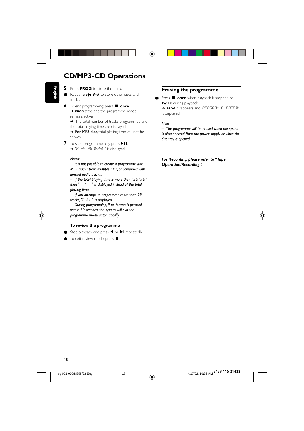# **CD/MP3-CD Operations**

- **English**
- **5** Press **PROG** to store the track.

● Repeat *steps* 3–5 to store other discs and tracks.

**6** To end programming, press  $\blacksquare$  once. ➜ **PROG** stays and the programme mode remains active.

→ The total number of tracks programmed and the total playing time are displayed.

→ For MP3 disc, total playing time will not be shown.

**7** To start programme play, press  $\blacktriangleright$  II. → "PLAY PROGRAM" is displayed.

#### *Notes:*

*– It is not possible to create a programme with MP3 tracks from multiple CDs, or combined with normal audio tracks.*

*– If the total playing time is more than "*99:59*" then "*--:--*" is displayed instead of the total playing time.*

*– If you attempt to programme more than 99 tracks, "*FULL*" is displayed.*

*– During programming, if no button is pressed within 20 seconds, the system will exit the programme mode automatically.*

#### **To review the programme**

- Stop playback and press  $\blacksquare$  or  $\blacksquare$  repeatedly.
- $\bullet$  To exit review mode, press  $\blacksquare$ .

# **Erasing the programme**

● Press ■ once when playback is stopped or **twice** during playback. ➜ **PROG** disappears and "PROGRAM CLEARED" is displayed.

# *Note:*

◈

*– The programme will be erased when the system is disconnected from the power supply or when the disc tray is opened.*

*For Recording, please refer to "Tape Operation/Recording".*



18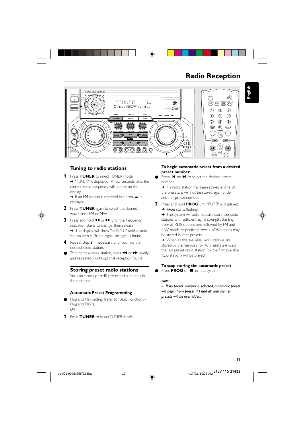

# **Radio Reception**

**English**



# **Tuning to radio stations**

**1** Press **TUNER** to select TUNER mode. → "TUNER" is displayed. A few seconds later, the current radio frequency will appear on the display.

 $\rightarrow$  If an FM station is received in stereo,  $\infty$  is displayed.

- **2** Press **TUNER** again to select the desired waveband : FM or MW.
- **3** Press and hold  $\blacktriangleleft$  or  $\blacktriangleright$  until the frequency indication starts to change, then release. → The display will show "SEARCH" until a radio station with sufficient signal strength is found.
- **4** Repeat step **3** if necessary until you find the desired radio station.
- To tune to a weak station, press  $\triangleleft$  or  $\triangleright$  briefly and repeatedly until optimal reception found.

# **Storing preset radio stations**

You can store up to 40 preset radio stations in the memory.

# **Automatic Preset Programming**

- Plug and Play setting (refer to "Basic Functions -Plug and Play"). *OR*
- **1** Press **TUNER** to select TUNER mode.

### **To begin automatic preset from a desired preset number**

Press  $\blacksquare$  or  $\blacksquare$  to select the desired preset number.

→ If a radio station has been stored in one of the presets, it will not be stored again under another preset number.

**2** Press and hold **PROG** until "AUTO" is displayed. ➜ **PROG** starts flashing.

→ The system will automatically store the radio stations with sufficient signal strength, starting from all RDS stations and followed by FM and MW bands respectively. Weak RDS stations may be stored in later presets.

→ When all the available radio stations are stored or the memory for 40 presets are used, the last preset radio station (or the first available RDS station) will be played.

# **To stop storing the automatic preset**

● Press PROG or ■ on the system.

#### *Note:*

*– If no preset number is selected, automatic preset will begin from preset (1) and all your former presets will be overridden.*

3139 115 21422

19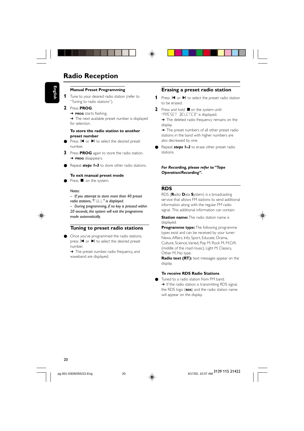# **Radio Reception**



#### **Manual Preset Programming**

**1** Tune to your desired radio station (refer to "Tuning to radio stations").

# **2** Press **PROG**.

➜ **PROG** starts flashing.

→ The next available preset number is displayed for selection.

# **To store the radio station to another preset number**

- Press  $\blacksquare$  or  $\blacktriangleright$  to select the desired preset number.
- **3** Press **PROG** again to store the radio station. ➜ **PROG** disappears.
- Repeat **steps 1–3** to store other radio stations.

# **To exit manual preset mode**

Press  $\blacksquare$  on the system.

### *Notes:*

*– If you attempt to store more than 40 preset radio stations, "*FULL*" is displayed.*

*– During programming, if no key is pressed within 20 seconds, the system will exit the programme mode automatically.*

# **Tuning to preset radio stations**

Once you've programmed the radio stations, press  $\blacksquare$  or  $\blacktriangleright$  to select the desired preset number.

→ The preset number, radio frequency, and waveband are displayed.

# **Erasing a preset radio station**

- 1 Press  $\blacksquare$  or  $\blacktriangleright$  to select the preset radio station to be erased.
- **2** Press and hold **I** on the system until "PRESET DELETED" is displayed. → The deleted radio frequency remains on the

display.

→ The preset numbers of all other preset radio stations in the band with higher numbers are also decreased by one.

Repeat **steps 1–2** to erase other preset radio stations.

### *For Recording, please refer to "Tape Operation/Recording".*

# **RDS**

RDS (**R**adio **D**ata **S**ystem) is a broadcasting service that allows FM stations to send additional information along with the regular FM radio signal. This additional information can contain:

**Station name:** The radio station name is displayed.

**Programme type:** The following programme types exist and can be received by your tuner: News, Affairs, Info, Sport, Educate, Drama, Culture, Science, Varied, Pop M, Rock M, M.O.R. (middle of the road music), Light M, Classics, Other M, No type.

**Radio text (RT):** text messages appear on the display.

# **To receive RDS Radio Stations**

Tuned to a radio station from FM band. → If the radio station is transmitting RDS signal, the RDS logo (**RDS**) and the radio station name will appear on the display.



pg 001-030/M355/22-Eng 4/17/02.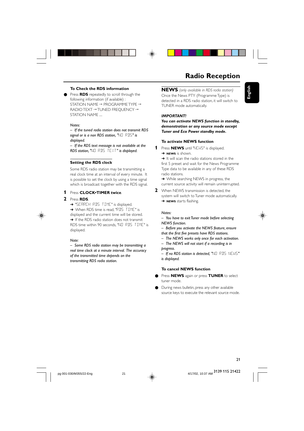# **To Check the RDS information**

Press **RDS** repeatedly to scroll through the following information (if available) : STATION NAME  $\rightarrow$  PROGRAMME TYPE  $\rightarrow$ RADIO TEXT  $\rightarrow$  TUNED FREQUENCY  $\rightarrow$ STATION NAME ....

#### *Notes:*

*– If the tuned radio station does not transmit RDS signal or is a non RDS station, "*NO RDS*" is displayed.*

*– If the RDS text message is not available at the RDS station, "*NO RDS TEXT*" is displayed.*

# **Setting the RDS clock**

Some RDS radio station may be transmitting a real clock time at an interval of every minute. It is possible to set the clock by using a time signal which is broadcast together with the RDS signal.

# **1** Press **CLOCK•TIMER twice**.

#### **2** Press **RDS**.

→ "SERREH RDS TIME" is displayed.

→ When RDS time is read, "RDS TIME" is displayed and the current time will be stored. → If the RDS radio station does not transmit RDS time within 90 seconds, "NO RDS TIME" is displayed.

#### *Note:*

*– Some RDS radio station may be transmitting a real time clock at a minute interval. The accuracy of the transmitted time depends on the transmitting RDS radio station.*

# **Radio Reception**

**English**

**NEWS** *(only available in RDS radio station)* Once the News PTY (Programme Type) is detected in a RDS radio station, it will switch to TUNER mode automatically.

#### *IMPORTANT!*

*You can activate NEWS function in standby, demonstration or any source mode except Tuner and Eco Power standby mode.*

#### **To activate NEWS function**

**1** Press **NEWS** until "NEWS" is displayed. ➜ **NEWS** is shown.

→ It will scan the radio stations stored in the first 5 preset and wait for the News Programme Type data to be available in any of these RDS radio stations.

**→** While searching NEWS in progress, the current source activity will remain uninterrupted.

**2** When NEWS transmission is detected, the system will switch to Tuner mode automatically. ➜ **NEWS** starts flashing.

#### *Notes:*

*– You have to exit Tuner mode before selecting NEWS function.*

*– Before you activate the NEWS feature, ensure that the first five presets have RDS stations.*

*– The NEWS works only once for each activation. – The NEWS will not start if a recording is in progress.*

*– If no RDS station is detected, "*NO RDS NEWS*" is displayed.*

# **To cancel NEWS function**

- Press **NEWS** again or press **TUNER** to select tuner mode.
- During news bulletin, press any other available source keys to execute the relevant source mode.

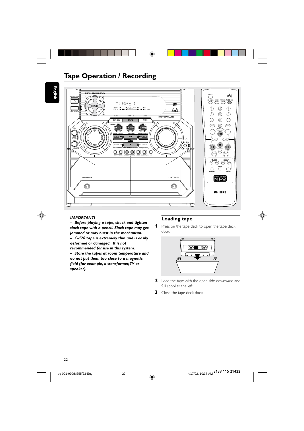

# **Tape Operation / Recording**

English

◈



# **IMPORTANT!**

- Before playing a tape, check and tighten slack tape with a pencil. Slack tape may get jammed or may burst in the mechanism. - C-120 tape is extremely thin and is easily deformed or damaged. It is not recommended for use in this system. - Store the tapes at room temperature and do not put them too close to a magnetic field (for example, a transformer, TV or speaker).

# **Loading tape**

1 Press on the tape deck to open the tape deck door.

◈



- 2 Load the tape with the open side downward and full spool to the left.
- 3 Close the tape deck door.

 $\bigcirc$ 

4/17/02, 10:37 AM 3139 115 21422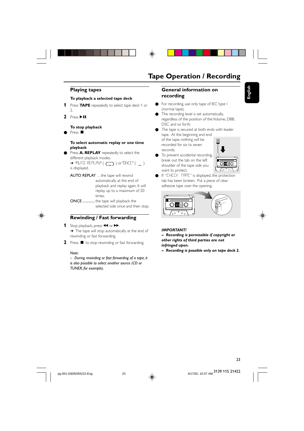# **Playing tapes**

# **To playback a selected tape deck**

- **1** Press **TAPE** repeatedly to select tape deck 1 or  $\mathcal{L}$
- **2** Press $\blacktriangleright$ II.

**To stop playback**

 $\bullet$  Press  $\blacksquare$ .

# **To select automatic replay or one time playback**

Press **A. REPLAY** repeatedly to select the different playback modes.

 $\rightarrow$  "RUTO REPLRY" ( $\bigcirc$ ) or "DNEE" ( $\bot$ ) is displayed.

AUTO REPLAY …the tape will rewind automatically at the end of playback and replay again. It will replay up to a maximum of 20 times.

ONCE ..............the tape will playback the selected side once and then stop.



# **Rewinding / Fast forwarding**

- 1 Stop playback, press << or  $\blacktriangleright$ . → The tape will stop automatically at the end of
- rewinding or fast forwarding.
- **2** Press **L** to stop rewinding or fast forwarding.

#### *Note:*

*– During rewinding or fast forwarding of a tape, it is also possible to select another source (CD or TUNER, for example).*

# **Tape Operation / Recording**

# **General information on recording**

- For recording, use only tape of IEC type I (normal tape).
- The recording level is set automatically, regardless of the position of the Volume, DBB, DSC and so forth.
- The tape is secured at both ends with leader tape. At the beginning and end of the tape, nothing will be recorded for six to seven
- seconds. ● To prevent accidental recording, break out the tab on the left shoulder of the tape side you want to protect.



**English**

● If "CHECK TAPE" is displayed, the protection tab has been broken. Put a piece of clear adhesive tape over the opening.



#### *IMPORTANT!*

*– Recording is permissible if copyright or other rights of third parties are not*

*infringed upon.*

*– Recording is possible only on tape deck 2.*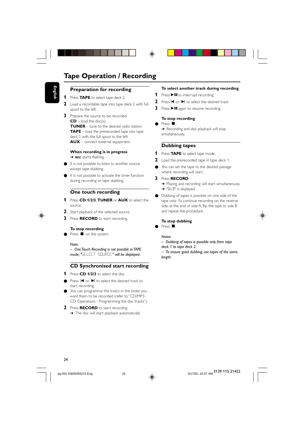# **Tape Operation / Recording**

# **Preparation for recording**

- **1** Press **TAPE** to select tape deck 2.
- **2** Load a recordable tape into tape deck 2 with full spool to the left.
- **3** Prepare the source to be recorded.  $CD$  – load the disc(s). **TUNER** – tune to the desired radio station. **TAPE** – load the prerecorded tape into tape deck 1 with the full spool to the left. **AUX** – connect external equipment.

#### **When recording is in progress**

➜ **REC** starts flashing.

- It is not possible to listen to another source, except tape dubbing.
- It is not possible to activate the timer function during recording or tape dubbing.

# **One touch recording**

- **1** Press **CD 1/2/3**, **TUNER** or **AUX** to select the source.
- 2 Start playback of the selected source.
- **3** Press **RECORD** to start recording.

# **To stop recording**

● Press ■ on the system.

### *Note:*

*– One Touch Recording is not possible in TAPE mode, "*SELECT SOURCE*" will be displayed.*

# **CD Synchronised start recording**

- **1** Press **CD 1/2/3** to select the disc.
- Press I< or ▶ to select the desired track to start recording.
- You can programme the tracks in the order you want them to be recorded (refer to "CD/MP3- CD Operations - Programming the disc tracks").
- **2** Press **RECORD** to start recording. → The disc will start playback automatically.

#### **To select another track during recording**

- **1** Press  $\blacktriangleright$  II to interrupt recording.
- 2 Press  $\blacksquare$  or  $\blacktriangleright$  to select the desired track.
- **3** Press  $\blacktriangleright$  II again to resume recording.

#### **To stop recording**

Press ■ **→** Recording and disc playback will stop simultaneously.

# **Dubbing tapes**

- **1** Press **TAPE** to select tape mode.
- **2** Load the prerecorded tape in tape deck 1.
- You can set the tape to the desired passage where recording will start.

# **3** Press **RECORD**.

- → Playing and recording will start simultaneously. → "JUB" is displayed.
- Dubbing of tapes is possible on one side of the tape only. To continue recording on the reverse side, at the end of side A, flip the tape to side B and repeat the procedure.

# **To stop dubbing**

 $\overline{\mathsf{P}}$  Press  $\overline{\mathsf{P}}$  .

#### *Notes:*

- *Dubbing of tapes is possible only from tape deck 1 to tape deck 2. – To ensure good dubbing, use tapes of the same*
- *length.*

 $24$ 



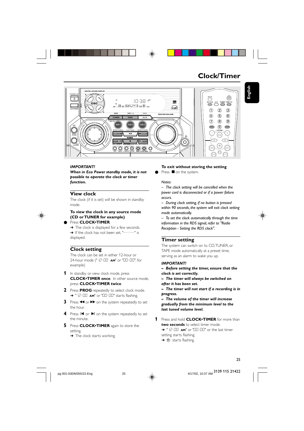

# **Clock/Timer**



# **IMPORTANT!**

When in Eco Power standby mode, it is not possible to operate the clock or timer function.

# **View clock**

The clock (if it is set) will be shown in standby mode.

# To view the clock in any source mode (CD or TUNER for example)

# Press CLOCK.TIMER.

The clock is displayed for a few seconds. → If the clock has not been set, "-----" is displayed.

# **Clock setting**

The clock can be set in either 12-hour or 24-hour mode (" I2:00 AM" or "00:00", for example)

- 1 In standby or view clock mode, press **CLOCK**·TIMER once. In other source mode, Dress CLOCK.TIMER twice.
- 2 Press PROG repeatedly to select clock mode. → " 12:00 AM" or "00:00" starts flashing.
- 3 Press << or >>>>>>> on the system repeatedly to set the hour.
- 4 Press I< or > on the system repeatedly to set the minute.
- 5 Press CLOCK.TIMER again to store the setting.
	- $\rightarrow$  The clock starts working.

# To exit without storing the setting

 $\bullet$ Press ■ on the system.

# Notes:

- The clock setting will be cancelled when the power cord is disconnected or if a power failure occurs.

- During clock setting, if no button is pressed within 90 seconds, the system will exit clock setting mode automatically.

- To set the clock automatically through the time information in the RDS signal, refer to "Radio Reception - Setting the RDS clock".

# **Timer setting**

The system can switch on to CD, TUNER, or TAPE mode automatically at a preset time, serving as an alarm to wake you up.

# **IMPORTANT!**

- Before setting the timer, ensure that the clock is set correctly.
- The timer will always be switched on after it has been set.

 $-$  The timer will not start if a recording is in progress.

- The volume of the timer will increase gradually from the minimum level to the last tuned volume level.

1 Press and hold **CLOCK**<sup>.</sup>TIMER for more than two seconds to select timer mode. → " I2:00 AM" or "00:00" or the last timer setting starts flashing.  $\rightarrow$   $\alpha$  starts flashing.



25

4/17/02, 10:37 AM 3139 115 21422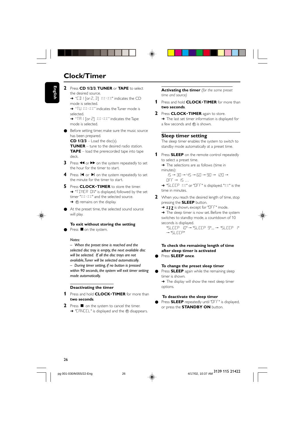# **Clock/Timer**

- **English**
- **2** Press **CD 1/2/3**, **TUNER** or **TAPE** to select the desired source.

→ "CD | [or 2, 3] XX:XX" indicates the CD mode is selected.

→ "TU XX:XX" indicates the Tuner mode is selected. → "TR I [or 2] XX:XX" indicates the Tape

mode is selected.

Before setting timer, make sure the music source has been prepared.

 $CD$   $1/2/3$  – Load the disc(s). **TUNER** – tune to the desired radio station. **TAPE** – load the prerecorded tape into tape deck.

- **3** Press << or  $\triangleright$  on the system repeatedly to set the hour for the timer to start.
- **4** Press  $\blacksquare$  or  $\blacksquare$  on the system repeatedly to set the minute for the timer to start.
- **5** Press **CLOCK**•**TIMER** to store the timer. → "TIMER ON" is displayed, followed by the set timer "XX:XX" and the selected source. → ① remains on the display.
- At the preset time, the selected sound source will play.

# **To exit without storing the setting**

Press **O** on the system.

#### *Notes:*

*– When the preset time is reached and the selected disc tray is empty, the next available disc will be selected. If all the disc trays are not available, Tuner will be selected automatically. – During timer setting, if no button is pressed within 90 seconds, the system will exit timer setting mode automatically.*

# **Deactivating the timer**

- **1** Press and hold **CLOCK**•**TIMER** for more than **two seconds**.
- **2** Press on the system to cancel the timer. → "CANCEL" is displayed and the 4 disappears.

**Activating the timer** *(for the same preset time and source)*

- **1** Press and hold **CLOCK**•**TIMER** for more than **two seconds**.
- **2** Press **CLOCK**•**TIMER** again to store. → The last set timer information is displayed for a few seconds and  $\Phi$  is shown.

#### **Sleep timer setting**

The sleep timer enables the system to switch to standby mode automatically at a preset time.

- **1** Press **SLEEP** on the remote control repeatedly to select a preset time.
	- → The selections are as follows (time in minutes):

15 ™ 30 ™ 45 ™ 60 ™ 90 ™ 120 ™  $OFF \rightarrow 15...$ 

→ "SLEEP XX" or "OFF" is displayed. "XX" is the time in minutes.

**2** When you reach the desired length of time, stop pressing the **SLEEP** button.

→ zzz is shown, except for "DFF" mode.

→ The sleep timer is now set. Before the system switches to standby mode, a countdown of 10 seconds is displayed.

"SLEEP 10" ™ "SLEEP 9".... ™ "SLEEP 1" ™ "SLEEP"

### **To check the remaining length of time after sleep timer is activated** ● Press **SLEEP once**.

options.

# **To change the preset sleep timer**

● Press **SLEEP** again while the remaining sleep timer is shown. → The display will show the next sleep timer

#### **To deactivate the sleep timer**

Press **SLEEP** repeatedly until "OFF" is displayed, or press the **STANDBY ON** button.

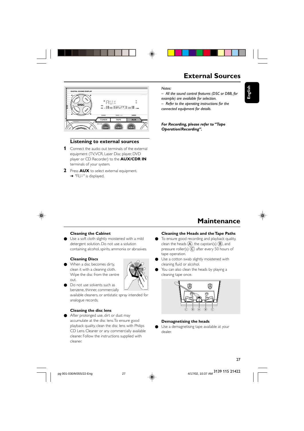



# **Listening to external sources**

- **1** Connect the audio out terminals of the external equipment (TV, VCR, Laser Disc player, DVD player or CD Recorder) to the **AUX/CDR IN** terminals of your system.
- **2** Press **AUX** to select external equipment. → "RUX" is displayed.

# **External Sources**

**English**

♠



*– All the sound control features (DSC or DBB, for example) are available for selection.*

*– Refer to the operating instructions for the connected equipment for details.*

*For Recording, please refer to "Tape Operation/Recording".*

# **Maintenance**

# **Cleaning the Cabinet**

Use a soft cloth slightly moistened with a mild detergent solution. Do not use a solution containing alcohol, spirits, ammonia or abrasives.

# **Cleaning Discs**

When a disc becomes dirty, clean it with a cleaning cloth. Wipe the disc from the centre out.

Do not use solvents such as



available cleaners, or antistatic spray intended for analogue records.

# **Cleaning the disc lens**

● After prolonged use, dirt or dust may accumulate at the disc lens. To ensure good playback quality, clean the disc lens with Philips CD Lens Cleaner or any commercially available cleaner. Follow the instructions supplied with cleaner.

#### **Cleaning the Heads and the Tape Paths**

- To ensure good recording and playback quality, clean the heads  $(\widehat{A})$ , the capstan(s)  $(\widehat{B})$ , and pressure roller(s)  $\widetilde{\mathbb{C}}$  after every 50 hours of tape operation.
- Use a cotton swab slightly moistened with cleaning fluid or alcohol.
- You can also clean the heads by playing a cleaning tape once.



# **Demagnetising the heads**

● Use a demagnetising tape available at your dealer.

27

pg 001-030/M355/22-Eng 4/17/27

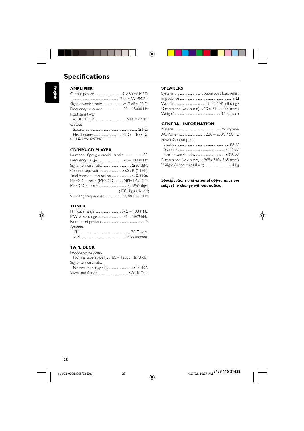

# **AMPLIFIER**

| <b>AMPLIFIER</b>                      |  |
|---------------------------------------|--|
|                                       |  |
|                                       |  |
| Signal-to-noise ratio  ≥ 67 dBA (IEC) |  |
| Frequency response  50 - 15000 Hz     |  |
| Input sensitivity                     |  |
|                                       |  |
| Output                                |  |
|                                       |  |
|                                       |  |
| $(1)$ (6 $\Omega$ , 1 kHz, 10% THD)   |  |
|                                       |  |

# **CD/MP3-CD PLAYER**

| Number of programmable tracks  99      |                    |
|----------------------------------------|--------------------|
|                                        |                    |
|                                        |                    |
|                                        |                    |
|                                        |                    |
| MPEG 1 Layer 3 (MP3-CD)  MPEG AUDIO    |                    |
|                                        |                    |
|                                        | (128 kbps advised) |
| Sampling frequencies  32, 44.1, 48 kHz |                    |
|                                        |                    |

# **TUNER**

 $\bigoplus$ 

| Antenna |  |
|---------|--|
|         |  |
|         |  |

# **TAPE DECK**

| Frequency response                        |
|-------------------------------------------|
| Normal tape (type I) 80 - 12500 Hz (8 dB) |
| Signal-to-noise ratio                     |
|                                           |
|                                           |

# **SPEAKERS**

 $\Rightarrow$ 

 $\overline{\phantom{a}}$ 

| Dimensions (w $\times$ h $\times$ d) . 210 $\times$ 310 $\times$ 235 (mm) |  |
|---------------------------------------------------------------------------|--|
|                                                                           |  |

×

# **GENERAL INFORMATION**

| Power Consumption                           |  |
|---------------------------------------------|--|
|                                             |  |
|                                             |  |
|                                             |  |
| Dimensions (w x h x d) $265x$ 310x 365 (mm) |  |
| Weight (without speakers)  6.4 kg           |  |

# *Specifications and external appearance are subject to change without notice.*

◈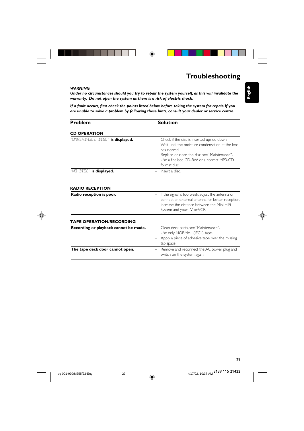

# **Troubleshooting**

**English**

◈

# *WARNING*

*Under no circumstances should you try to repair the system yourself, as this will invalidate the warranty. Do not open the system as there is a risk of electric shock.*

◈

*If a fault occurs, first check the points listed below before taking the system for repair. If you are unable to solve a problem by following these hints, consult your dealer or service centre.*

| Problem                         | <b>Solution</b>                                                                                                                                                                                                                      |  |  |
|---------------------------------|--------------------------------------------------------------------------------------------------------------------------------------------------------------------------------------------------------------------------------------|--|--|
| <b>CD OPERATION</b>             |                                                                                                                                                                                                                                      |  |  |
| "UNRERDRELE DISE" is displayed. | - Check if the disc is inserted upside down.<br>- Wait until the moisture condensation at the lens<br>has cleared.<br>- Replace or clean the disc, see "Maintenance".<br>- Use a finalised CD-RW or a correct MP3-CD<br>format disc. |  |  |
| $\sqrt{15}$ DISE" is displayed. | $-$ lnsert a disc.                                                                                                                                                                                                                   |  |  |
|                                 |                                                                                                                                                                                                                                      |  |  |

# **RADIO RECEPTION**

| ייטוע וובער טוש                       |                                                                                                                                                                                        |
|---------------------------------------|----------------------------------------------------------------------------------------------------------------------------------------------------------------------------------------|
| Radio reception is poor.              | $-$ If the signal is too weak, adjust the antenna or<br>connect an external antenna for better reception.<br>Increase the distance between the Mini HiFi<br>System and your TV or VCR. |
| <b>TAPE OPERATION/RECORDING</b>       |                                                                                                                                                                                        |
| Recording or playback cannot be made. | - Clean deck parts, see "Maintenance".<br>- Use only NORMAL (IEC I) tape.<br>- Apply a piece of adhesive tape over the missing<br>tab space.                                           |
| The tape deck door cannot open.       | - Remove and reconnect the AC power plug and<br>switch on the system again.                                                                                                            |

29